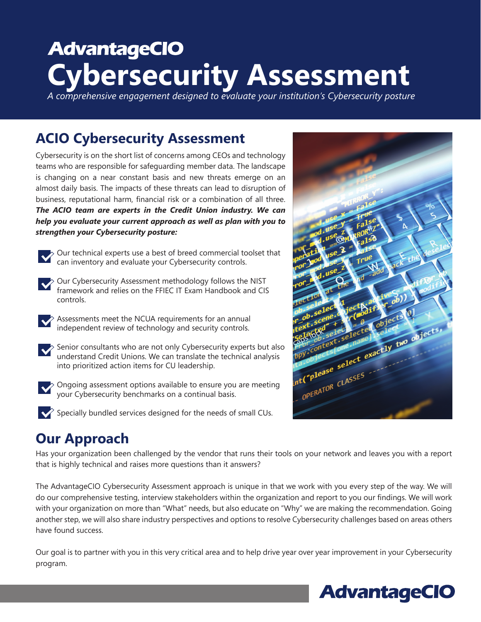# **AdvantageCIO Cybersecurity Assessment**

*A comprehensive engagement designed to evaluate your institution's Cybersecurity posture*

## **ACIO Cybersecurity Assessment**

Cybersecurity is on the short list of concerns among CEOs and technology teams who are responsible for safeguarding member data. The landscape is changing on a near constant basis and new threats emerge on an almost daily basis. The impacts of these threats can lead to disruption of business, reputational harm, financial risk or a combination of all three. *The ACIO team are experts in the Credit Union industry. We can help you evaluate your current approach as well as plan with you to strengthen your Cybersecurity posture:*



Our technical experts use a best of breed commercial toolset that can inventory and evaluate your Cybersecurity controls.

- Our Cybersecurity Assessment methodology follows the NIST framework and relies on the FFIEC IT Exam Handbook and CIS controls.
- 

Assessments meet the NCUA requirements for an annual independent review of technology and security controls.



Senior consultants who are not only Cybersecurity experts but also understand Credit Unions. We can translate the technical analysis into prioritized action items for CU leadership.

Ongoing assessment options available to ensure you are meeting your Cybersecurity benchmarks on a continual basis.

 $\blacktriangleright$  Specially bundled services designed for the needs of small CUs.



## **Our Approach**

Has your organization been challenged by the vendor that runs their tools on your network and leaves you with a report that is highly technical and raises more questions than it answers?

The AdvantageCIO Cybersecurity Assessment approach is unique in that we work with you every step of the way. We will do our comprehensive testing, interview stakeholders within the organization and report to you our findings. We will work with your organization on more than "What" needs, but also educate on "Why" we are making the recommendation. Going another step, we will also share industry perspectives and options to resolve Cybersecurity challenges based on areas others have found success.

Our goal is to partner with you in this very critical area and to help drive year over year improvement in your Cybersecurity program.